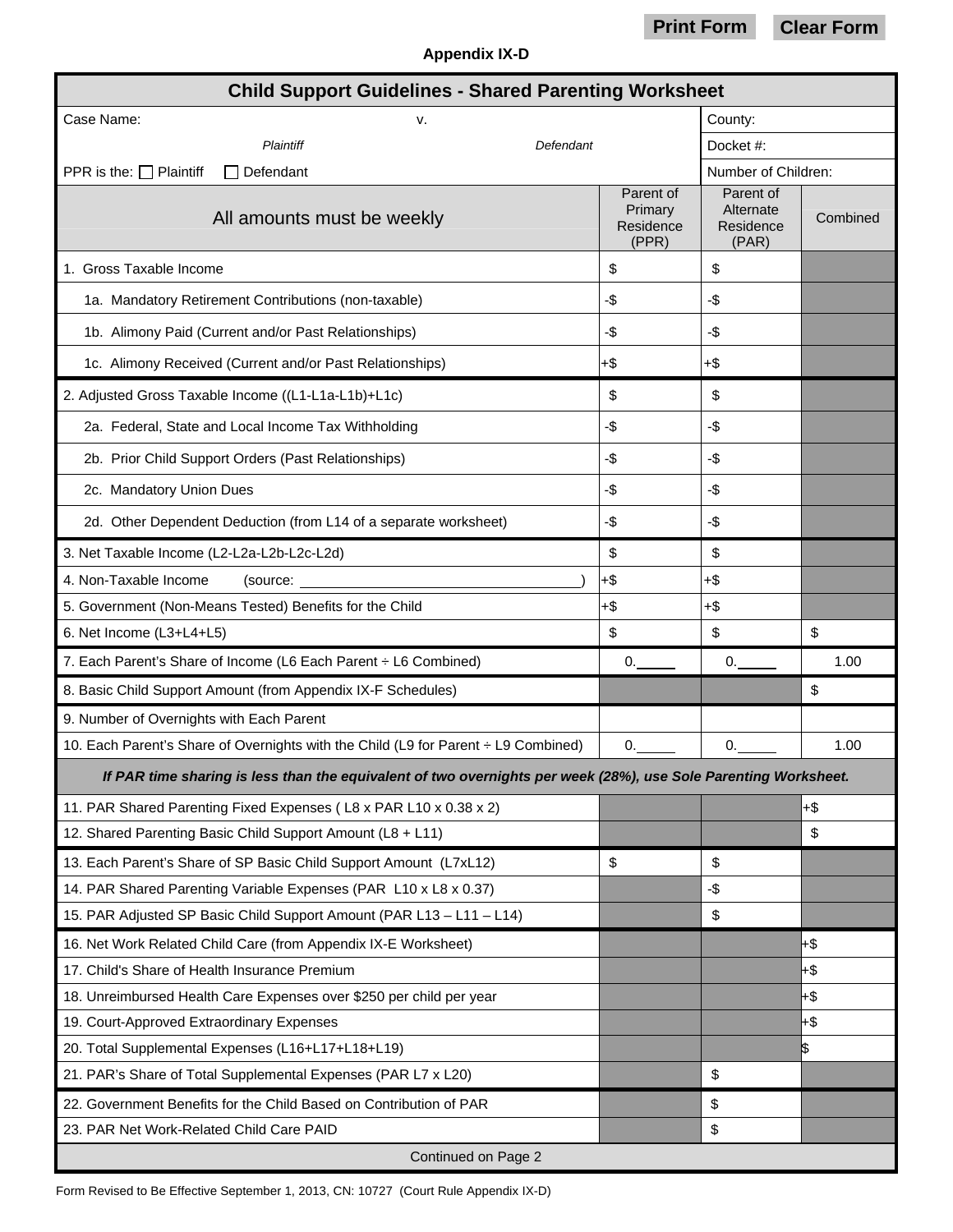## **Print Form Clear Form**

| <b>Appendix IX-D</b> |  |
|----------------------|--|
|----------------------|--|

| <b>Child Support Guidelines - Shared Parenting Worksheet</b>                                                    |                                            |                                              |           |  |
|-----------------------------------------------------------------------------------------------------------------|--------------------------------------------|----------------------------------------------|-----------|--|
| Case Name:<br>v.                                                                                                |                                            | County:                                      |           |  |
| Plaintiff                                                                                                       | Defendant                                  |                                              | Docket #: |  |
| PPR is the: $\Box$ Plaintiff<br>Defendant                                                                       |                                            | Number of Children:                          |           |  |
| All amounts must be weekly                                                                                      | Parent of<br>Primary<br>Residence<br>(PPR) | Parent of<br>Alternate<br>Residence<br>(PAR) | Combined  |  |
| 1. Gross Taxable Income                                                                                         | \$                                         | \$                                           |           |  |
| 1a. Mandatory Retirement Contributions (non-taxable)                                                            | -\$                                        | -\$                                          |           |  |
| 1b. Alimony Paid (Current and/or Past Relationships)                                                            | -\$                                        | -\$                                          |           |  |
| 1c. Alimony Received (Current and/or Past Relationships)                                                        | +\$                                        | +\$                                          |           |  |
| 2. Adjusted Gross Taxable Income ((L1-L1a-L1b)+L1c)                                                             | \$                                         | \$                                           |           |  |
| 2a. Federal, State and Local Income Tax Withholding                                                             | -\$                                        | -\$                                          |           |  |
| 2b. Prior Child Support Orders (Past Relationships)                                                             | -\$                                        | -\$                                          |           |  |
| 2c. Mandatory Union Dues                                                                                        | -\$                                        | -\$                                          |           |  |
| 2d. Other Dependent Deduction (from L14 of a separate worksheet)                                                | -\$                                        | -\$                                          |           |  |
| 3. Net Taxable Income (L2-L2a-L2b-L2c-L2d)                                                                      | \$                                         | \$                                           |           |  |
| 4. Non-Taxable Income<br>(source:                                                                               | $+$ \$                                     | $+\$$                                        |           |  |
| 5. Government (Non-Means Tested) Benefits for the Child                                                         | $+\$$                                      | $+\$$                                        |           |  |
| 6. Net Income (L3+L4+L5)                                                                                        | \$                                         | \$                                           | \$        |  |
| 7. Each Parent's Share of Income (L6 Each Parent : L6 Combined)                                                 | 0.                                         | 0.                                           | 1.00      |  |
| 8. Basic Child Support Amount (from Appendix IX-F Schedules)                                                    |                                            |                                              | \$        |  |
| 9. Number of Overnights with Each Parent                                                                        |                                            |                                              |           |  |
| 10. Each Parent's Share of Overnights with the Child (L9 for Parent ÷ L9 Combined)                              | 0.                                         | 0.                                           | 1.00      |  |
| If PAR time sharing is less than the equivalent of two overnights per week (28%), use Sole Parenting Worksheet. |                                            |                                              |           |  |
| 11. PAR Shared Parenting Fixed Expenses (L8 x PAR L10 x 0.38 x 2)                                               |                                            |                                              | $+$ \$    |  |
| 12. Shared Parenting Basic Child Support Amount (L8 + L11)                                                      |                                            |                                              | \$        |  |
| 13. Each Parent's Share of SP Basic Child Support Amount (L7xL12)                                               | \$                                         | \$                                           |           |  |
| 14. PAR Shared Parenting Variable Expenses (PAR L10 x L8 x 0.37)                                                |                                            | -\$                                          |           |  |
| 15. PAR Adjusted SP Basic Child Support Amount (PAR L13 - L11 - L14)                                            |                                            | \$                                           |           |  |
| 16. Net Work Related Child Care (from Appendix IX-E Worksheet)                                                  |                                            |                                              | +\$       |  |
| 17. Child's Share of Health Insurance Premium                                                                   |                                            |                                              | +\$       |  |
| 18. Unreimbursed Health Care Expenses over \$250 per child per year                                             |                                            |                                              | $+$ \$    |  |
| 19. Court-Approved Extraordinary Expenses                                                                       |                                            |                                              | $+$ \$    |  |
| 20. Total Supplemental Expenses (L16+L17+L18+L19)                                                               |                                            |                                              | \$        |  |
| 21. PAR's Share of Total Supplemental Expenses (PAR L7 x L20)                                                   |                                            | \$                                           |           |  |
| 22. Government Benefits for the Child Based on Contribution of PAR                                              |                                            | \$                                           |           |  |
| 23. PAR Net Work-Related Child Care PAID                                                                        |                                            | \$                                           |           |  |
| Continued on Page 2                                                                                             |                                            |                                              |           |  |

Form Revised to Be Effective September 1, 2013, CN: 10727 (Court Rule Appendix IX-D)